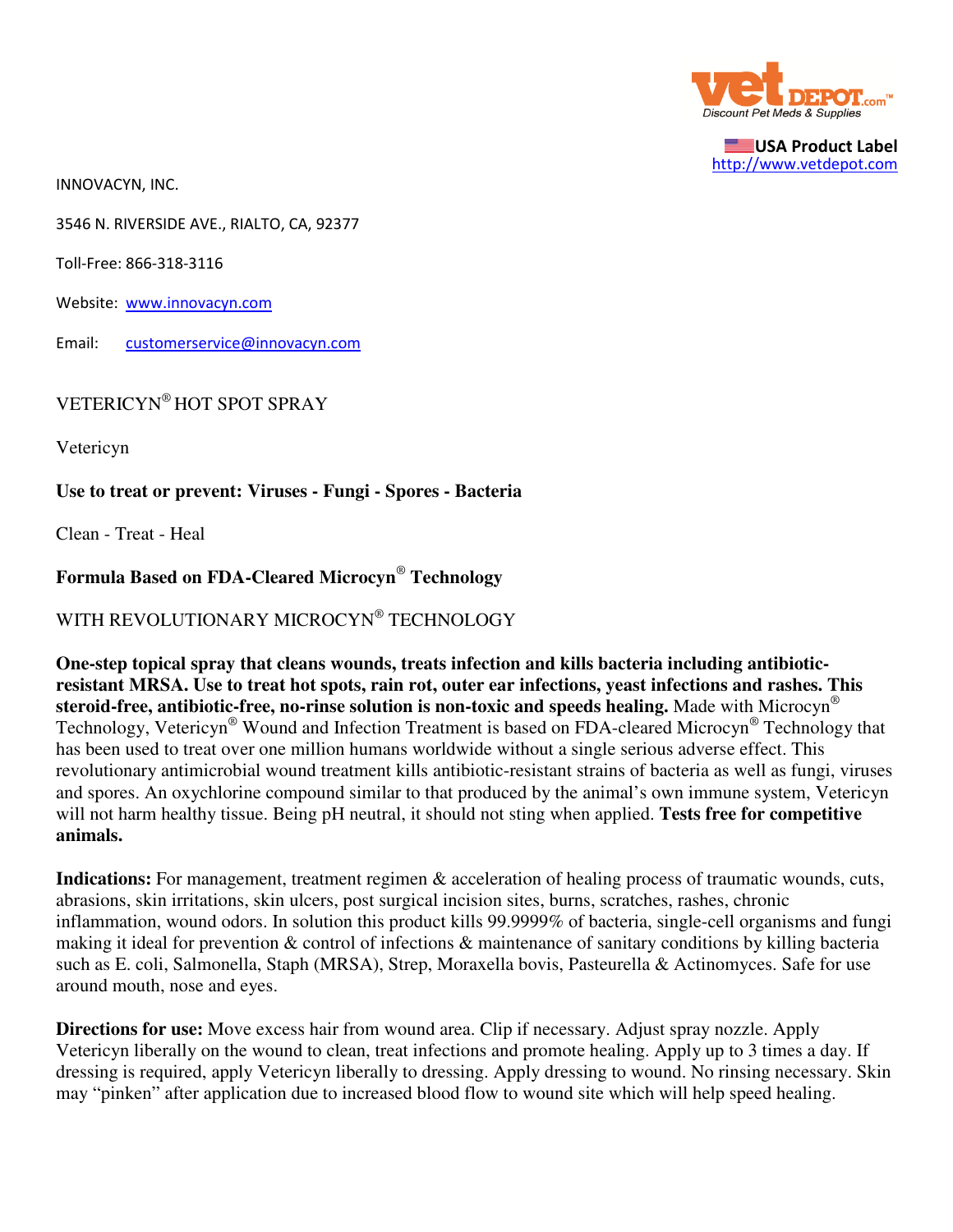

USA Product Label http://www.vetdepot.com

INNOVACYN, INC.

3546 N. RIVERSIDE AVE., RIALTO, CA, 92377

Toll-Free: 866-318-3116

Website: www.innovacyn.com

Email: customerservice@innovacyn.com

VETERICYN® HOT SPOT SPRAY

Vetericyn

## **Use to treat or prevent: Viruses - Fungi - Spores - Bacteria**

Clean - Treat - Heal

## **Formula Based on FDA-Cleared Microcyn**®  **Technology**

WITH REVOLUTIONARY MICROCYN® TECHNOLOGY

**One-step topical spray that cleans wounds, treats infection and kills bacteria including antibioticresistant MRSA. Use to treat hot spots, rain rot, outer ear infections, yeast infections and rashes. This steroid-free, antibiotic-free, no-rinse solution is non-toxic and speeds healing.** Made with Microcyn® Technology, Vetericyn® Wound and Infection Treatment is based on FDA-cleared Microcyn® Technology that has been used to treat over one million humans worldwide without a single serious adverse effect. This revolutionary antimicrobial wound treatment kills antibiotic-resistant strains of bacteria as well as fungi, viruses and spores. An oxychlorine compound similar to that produced by the animal's own immune system, Vetericyn will not harm healthy tissue. Being pH neutral, it should not sting when applied. **Tests free for competitive animals.**

**Indications:** For management, treatment regimen & acceleration of healing process of traumatic wounds, cuts, abrasions, skin irritations, skin ulcers, post surgical incision sites, burns, scratches, rashes, chronic inflammation, wound odors. In solution this product kills 99.9999% of bacteria, single-cell organisms and fungi making it ideal for prevention & control of infections & maintenance of sanitary conditions by killing bacteria such as E. coli, Salmonella, Staph (MRSA), Strep, Moraxella bovis, Pasteurella & Actinomyces. Safe for use around mouth, nose and eyes.

**Directions for use:** Move excess hair from wound area. Clip if necessary. Adjust spray nozzle. Apply Vetericyn liberally on the wound to clean, treat infections and promote healing. Apply up to 3 times a day. If dressing is required, apply Vetericyn liberally to dressing. Apply dressing to wound. No rinsing necessary. Skin may "pinken" after application due to increased blood flow to wound site which will help speed healing.